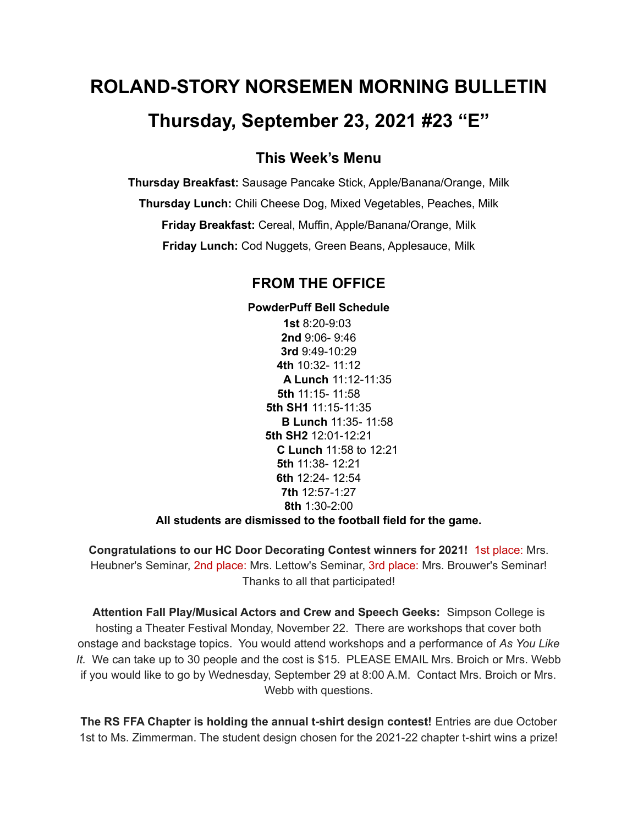# **ROLAND-STORY NORSEMEN MORNING BULLETIN Thursday, September 23, 2021 #23 "E"**

## **This Week's Menu**

**Thursday Breakfast:** Sausage Pancake Stick, Apple/Banana/Orange, Milk **Thursday Lunch:** Chili Cheese Dog, Mixed Vegetables, Peaches, Milk **Friday Breakfast:** Cereal, Muffin, Apple/Banana/Orange, Milk **Friday Lunch:** Cod Nuggets, Green Beans, Applesauce, Milk

## **FROM THE OFFICE**

**PowderPuff Bell Schedule 1st** 8:20-9:03 **2nd** 9:06- 9:46 **3rd** 9:49-10:29 **4th** 10:32- 11:12 **A Lunch** 11:12-11:35 **5th** 11:15- 11:58 **5th SH1** 11:15-11:35 **B Lunch** 11:35- 11:58 **5th SH2** 12:01-12:21 **C Lunch** 11:58 to 12:21 **5th** 11:38- 12:21 **6th** 12:24- 12:54 **7th** 12:57-1:27 **8th** 1:30-2:00

#### **All students are dismissed to the football field for the game.**

**Congratulations to our HC Door Decorating Contest winners for 2021!** 1st place: Mrs. Heubner's Seminar, 2nd place: Mrs. Lettow's Seminar, 3rd place: Mrs. Brouwer's Seminar! Thanks to all that participated!

**Attention Fall Play/Musical Actors and Crew and Speech Geeks:** Simpson College is hosting a Theater Festival Monday, November 22. There are workshops that cover both onstage and backstage topics. You would attend workshops and a performance of *As You Like It.* We can take up to 30 people and the cost is \$15. PLEASE EMAIL Mrs. Broich or Mrs. Webb if you would like to go by Wednesday, September 29 at 8:00 A.M. Contact Mrs. Broich or Mrs. Webb with questions.

**The RS FFA Chapter is holding the annual t-shirt design contest!** Entries are due October 1st to Ms. Zimmerman. The student design chosen for the 2021-22 chapter t-shirt wins a prize!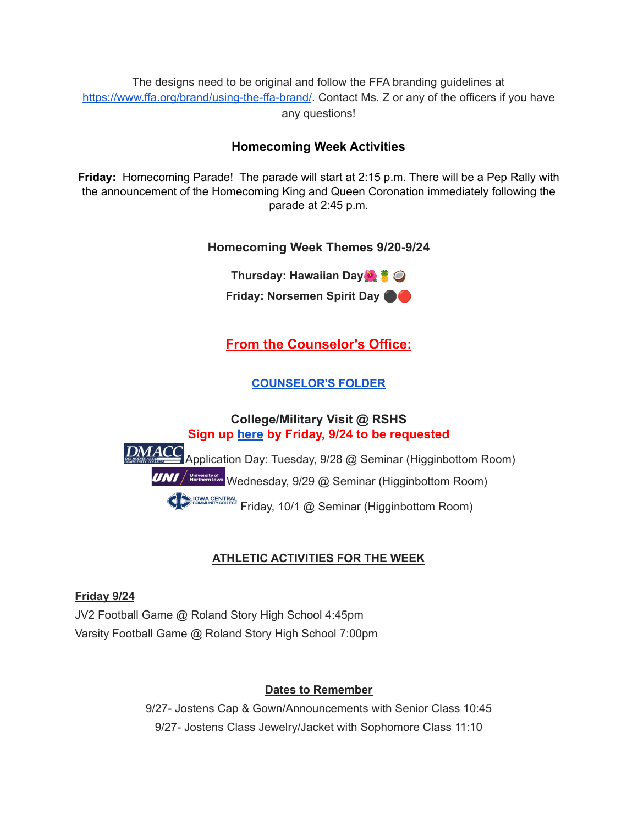The designs need to be original and follow the FFA branding guidelines at <https://www.ffa.org/brand/using-the-ffa-brand/>. Contact Ms. Z or any of the officers if you have any questions!

## **Homecoming Week Activities**

**Friday:** Homecoming Parade! The parade will start at 2:15 p.m. There will be a Pep Rally with the announcement of the Homecoming King and Queen Coronation immediately following the parade at 2:45 p.m.

## **Homecoming Week Themes 9/20-9/24**

**Thursday: Hawaiian Day Friday: Norsemen Spirit Day** ⚫️

## **From the Counselor's Office:**

## **[COUNSELOR'S](https://docs.google.com/document/d/1vmwczNPbDzXe9vFaG5LJMQ7NYDv-i4oQJHybqA65TUc/edit?usp=sharing) FOLDER**

## **College/Military Visit @ RSHS Sign up [here](https://forms.gle/9pTD2FPMHGQVCXTcA) by Friday, 9/24 to be requested** DMACC Application Day: Tuesday, 9/28 @ Seminar (Higginbottom Room) **UNI** / **Korthern lowa** Wednesday, 9/29 @ Seminar (Higginbottom Room) **COMMAGENTRAL Friday, 10/1 @ Seminar (Higginbottom Room)**

## **ATHLETIC ACTIVITIES FOR THE WEEK**

## **Friday 9/24**

JV2 Football Game @ Roland Story High School 4:45pm Varsity Football Game @ Roland Story High School 7:00pm

## **Dates to Remember**

9/27- Jostens Cap & Gown/Announcements with Senior Class 10:45 9/27- Jostens Class Jewelry/Jacket with Sophomore Class 11:10